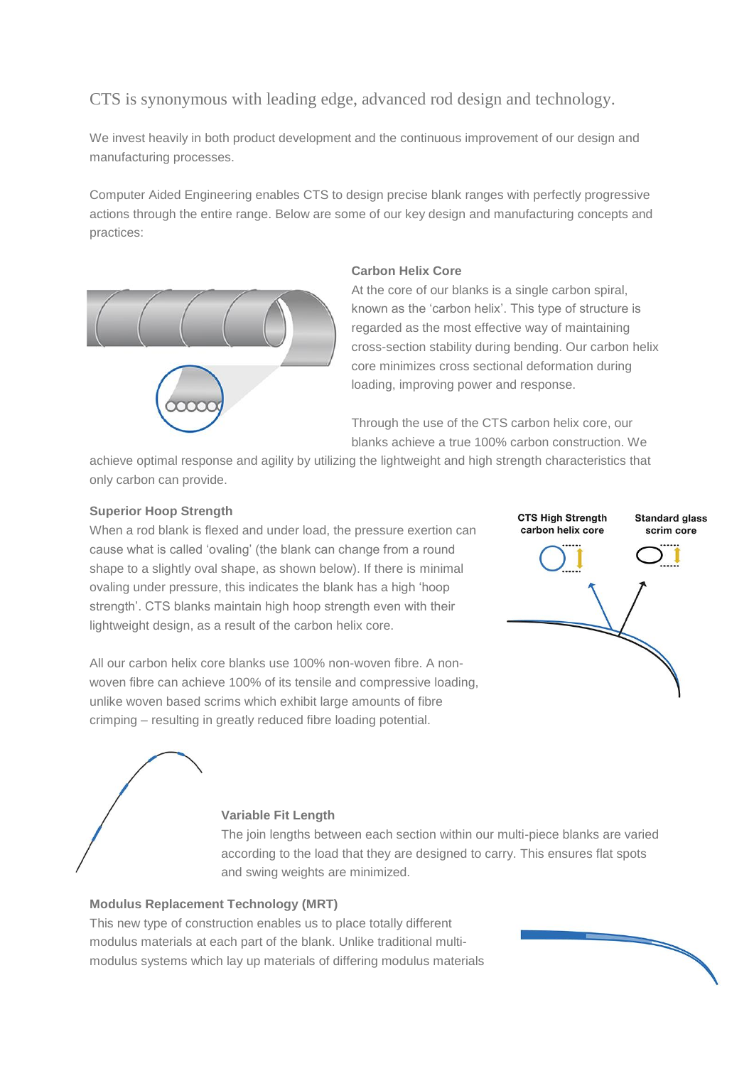# CTS is synonymous with leading edge, advanced rod design and technology.

We invest heavily in both product development and the continuous improvement of our design and manufacturing processes.

Computer Aided Engineering enables CTS to design precise blank ranges with perfectly progressive actions through the entire range. Below are some of our key design and manufacturing concepts and practices:



## **Carbon Helix Core**

At the core of our blanks is a single carbon spiral, known as the 'carbon helix'. This type of structure is regarded as the most effective way of maintaining cross-section stability during bending. Our carbon helix core minimizes cross sectional deformation during loading, improving power and response.

Through the use of the CTS carbon helix core, our blanks achieve a true 100% carbon construction. We

achieve optimal response and agility by utilizing the lightweight and high strength characteristics that only carbon can provide.

## **Superior Hoop Strength**

When a rod blank is flexed and under load, the pressure exertion can cause what is called 'ovaling' (the blank can change from a round shape to a slightly oval shape, as shown below). If there is minimal ovaling under pressure, this indicates the blank has a high 'hoop strength'. CTS blanks maintain high hoop strength even with their lightweight design, as a result of the carbon helix core.

All our carbon helix core blanks use 100% non-woven fibre. A nonwoven fibre can achieve 100% of its tensile and compressive loading, unlike woven based scrims which exhibit large amounts of fibre crimping – resulting in greatly reduced fibre loading potential.



#### **Variable Fit Length**

The join lengths between each section within our multi-piece blanks are varied according to the load that they are designed to carry. This ensures flat spots and swing weights are minimized.

#### **Modulus Replacement Technology (MRT)**

This new type of construction enables us to place totally different modulus materials at each part of the blank. Unlike traditional multimodulus systems which lay up materials of differing modulus materials